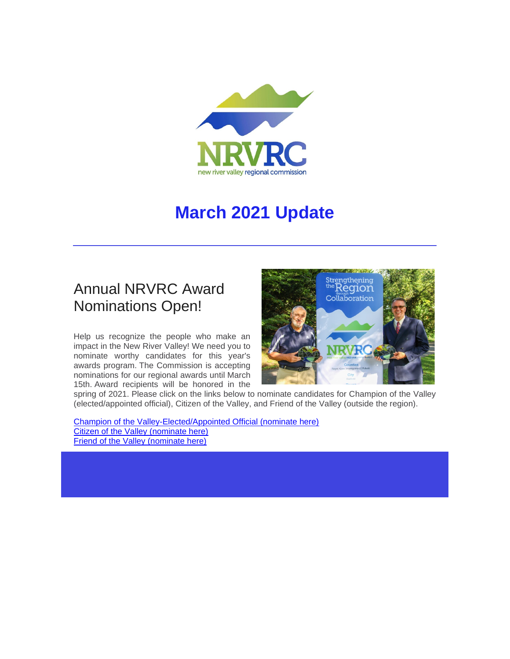

# **March 2021 Update**

## Annual NRVRC Award Nominations Open!

Help us recognize the people who make an impact in the New River Valley! We need you to nominate worthy candidates for this year's awards program. The Commission is accepting nominations for our regional awards until March 15th. Award recipients will be honored in the



spring of 2021. Please click on the links below to nominate candidates for Champion of the Valley (elected/appointed official), Citizen of the Valley, and Friend of the Valley (outside the region).

[Champion of the Valley-Elected/Appointed Official \(nominate here\)](http://r20.rs6.net/tn.jsp?f=001se7Yy8TK-d0jbdaLbGGxD7a-vk57mxP7J4WXu5o4EO-76OQd2Rz81wZHX-ivKyD9v0mTnJecnMbsEPnpKqtoN_AmLqrgo8bDOrc2ZZYEVWsZxsPrr4msPp6l9S1aKhYtKY7ISd7CnHwv3kVY8lfjWaqy7ErPRbrTnAKVcKxlaxNlQQSxoY_hl1bqNTlNarNu2X-6cQkhH7s=&c=ytZcPIbFmloYmloj5NDax3BWtU_jXuTcvidkXq2ztUsCzzAN5-9NIw==&ch=6BdoQi3kPvQJBc2qdvSVdSdK1CKhy4LrdkRtVW0YyHlsVlAXVMtixA==) [Citizen of the Valley \(nominate here\)](http://r20.rs6.net/tn.jsp?f=001se7Yy8TK-d0jbdaLbGGxD7a-vk57mxP7J4WXu5o4EO-76OQd2Rz81wZHX-ivKyD9zwt9_V6SUo0Rn9ZpQoAWTWZ6e7d0jIzYw9BwcNNA76i2FsH78NS6ja76yGdGX7nkBvDICj6z0SGA9l_h69pzgStczEk6TCA5V94qOC9gc3ktNVl6A44kWCsLctP6WCNT&c=ytZcPIbFmloYmloj5NDax3BWtU_jXuTcvidkXq2ztUsCzzAN5-9NIw==&ch=6BdoQi3kPvQJBc2qdvSVdSdK1CKhy4LrdkRtVW0YyHlsVlAXVMtixA==) [Friend of the Valley \(nominate here\)](http://r20.rs6.net/tn.jsp?f=001se7Yy8TK-d0jbdaLbGGxD7a-vk57mxP7J4WXu5o4EO-76OQd2Rz81wZHX-ivKyD97FbFkH9-ca5ADUfNYMKm8Hp1LsS_YUCFVEGmc7UtNRnMJUwzzdDzeg9NWoc8Ssf-ZO49VkYRBF9U4ZwYm68NdiMQhkcEIkO_crrXzPo2kByPKdQs4fjeUvAzNyhTsP0p&c=ytZcPIbFmloYmloj5NDax3BWtU_jXuTcvidkXq2ztUsCzzAN5-9NIw==&ch=6BdoQi3kPvQJBc2qdvSVdSdK1CKhy4LrdkRtVW0YyHlsVlAXVMtixA==)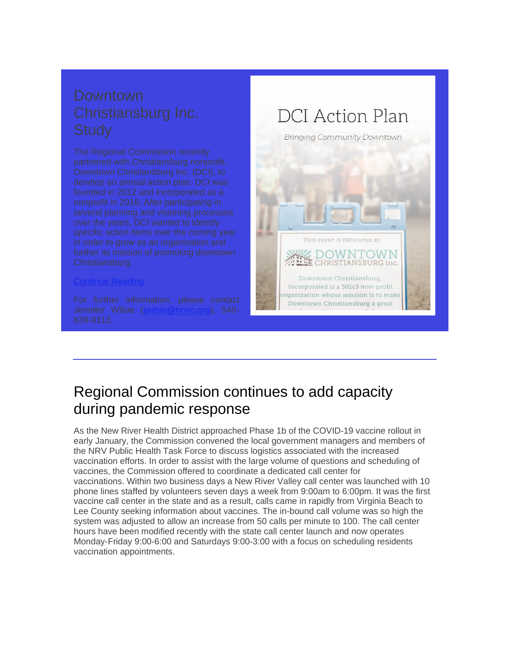### [Continue Reading](http://r20.rs6.net/tn.jsp?f=001se7Yy8TK-d0jbdaLbGGxD7a-vk57mxP7J4WXu5o4EO-76OQd2Rz81wx9S1Ubo_qgI76kWEgnShWo9vIGmKA59rf3LpGKKE-12WCEe9v4nAX3wQ_PuG6tNmYkFVgdyW3s7HQFgkDCWg7NlQhA4GpdaP2PAy_B0u6mFmgy7aivG0K_xIIS3DMMAX2nTWerUefb&c=ytZcPIbFmloYmloj5NDax3BWtU_jXuTcvidkXq2ztUsCzzAN5-9NIw==&ch=6BdoQi3kPvQJBc2qdvSVdSdK1CKhy4LrdkRtVW0YyHlsVlAXVMtixA==)



## Regional Commission continues to add capacity during pandemic response

As the New River Health District approached Phase 1b of the COVID-19 vaccine rollout in early January, the Commission convened the local government managers and members of the NRV Public Health Task Force to discuss logistics associated with the increased vaccination efforts. In order to assist with the large volume of questions and scheduling of vaccines, the Commission offered to coordinate a dedicated call center for vaccinations. Within two business days a New River Valley call center was launched with 10 phone lines staffed by volunteers seven days a week from 9:00am to 6:00pm. It was the first vaccine call center in the state and as a result, calls came in rapidly from Virginia Beach to Lee County seeking information about vaccines. The in-bound call volume was so high the system was adjusted to allow an increase from 50 calls per minute to 100. The call center hours have been modified recently with the state call center launch and now operates Monday-Friday 9:00-6:00 and Saturdays 9:00-3:00 with a focus on scheduling residents vaccination appointments.